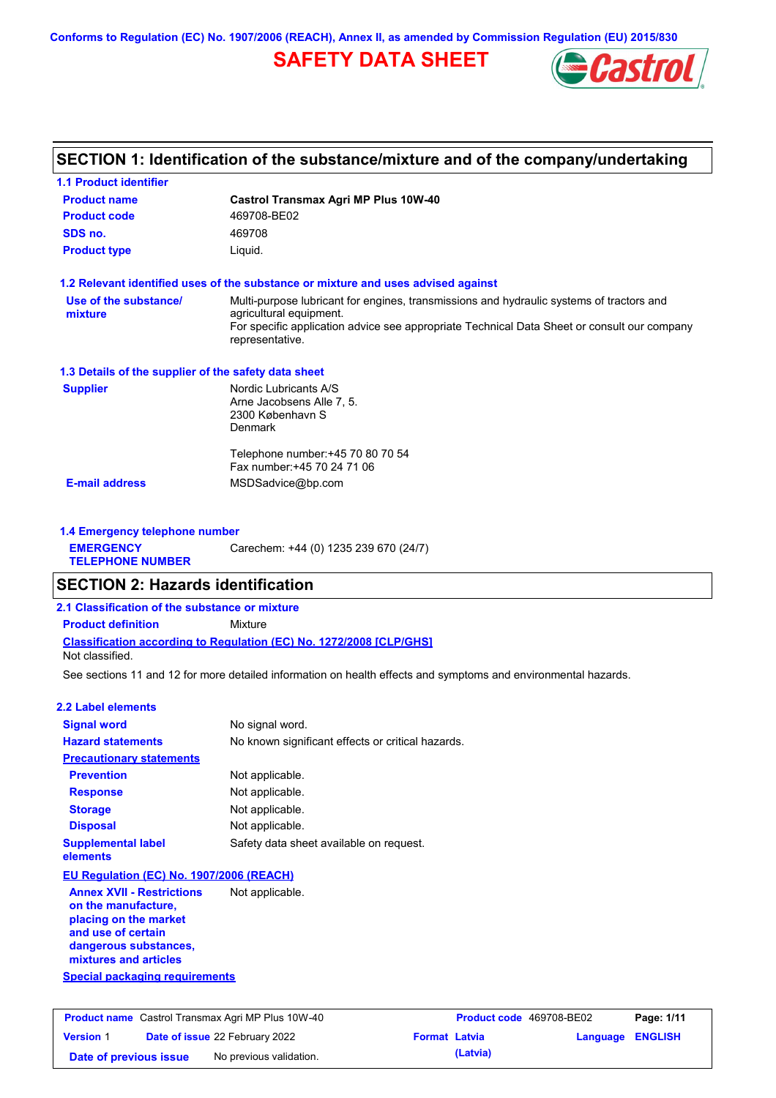**Conforms to Regulation (EC) No. 1907/2006 (REACH), Annex II, as amended by Commission Regulation (EU) 2015/830**

# **SAFETY DATA SHEET**



### **SECTION 1: Identification of the substance/mixture and of the company/undertaking**

| <b>1.1 Product identifier</b>                        |                                                                                                                                                                                                                                       |
|------------------------------------------------------|---------------------------------------------------------------------------------------------------------------------------------------------------------------------------------------------------------------------------------------|
| <b>Product name</b>                                  | <b>Castrol Transmax Agri MP Plus 10W-40</b>                                                                                                                                                                                           |
| <b>Product code</b>                                  | 469708-BE02                                                                                                                                                                                                                           |
| SDS no.                                              | 469708                                                                                                                                                                                                                                |
| <b>Product type</b>                                  | Liquid.                                                                                                                                                                                                                               |
|                                                      | 1.2 Relevant identified uses of the substance or mixture and uses advised against                                                                                                                                                     |
| Use of the substance/<br>mixture                     | Multi-purpose lubricant for engines, transmissions and hydraulic systems of tractors and<br>agricultural equipment.<br>For specific application advice see appropriate Technical Data Sheet or consult our company<br>representative. |
| 1.3 Details of the supplier of the safety data sheet |                                                                                                                                                                                                                                       |
| <b>Supplier</b>                                      | Nordic Lubricants A/S<br>Arne Jacobsens Alle 7, 5.<br>2300 København S<br><b>Denmark</b>                                                                                                                                              |
|                                                      | Telephone number: +45 70 80 70 54<br>Fax number: +45 70 24 71 06                                                                                                                                                                      |
| <b>E-mail address</b>                                | MSDSadvice@bp.com                                                                                                                                                                                                                     |
| 1.4 Emergency telephone number                       |                                                                                                                                                                                                                                       |
| <b>EMERGENCY</b><br><b>TELEPHONE NUMBER</b>          | Carechem: +44 (0) 1235 239 670 (24/7)                                                                                                                                                                                                 |

### **SECTION 2: Hazards identification**

**Classification according to Regulation (EC) No. 1272/2008 [CLP/GHS] 2.1 Classification of the substance or mixture Product definition** Mixture

Not classified.

See sections 11 and 12 for more detailed information on health effects and symptoms and environmental hazards.

#### **2.2 Label elements**

| <b>Signal word</b>                    | No signal word.                                   |
|---------------------------------------|---------------------------------------------------|
| <b>Hazard statements</b>              | No known significant effects or critical hazards. |
| <b>Precautionary statements</b>       |                                                   |
| <b>Prevention</b>                     | Not applicable.                                   |
| <b>Response</b>                       | Not applicable.                                   |
| <b>Storage</b>                        | Not applicable.                                   |
| <b>Disposal</b>                       | Not applicable.                                   |
| <b>Supplemental label</b><br>elements | Safety data sheet available on request.           |

#### **EU Regulation (EC) No. 1907/2006 (REACH)**

**Annex XVII - Restrictions on the manufacture, placing on the market and use of certain dangerous substances, mixtures and articles** Not applicable.

#### **Special packaging requirements**

| <b>Product name</b> Castrol Transmax Agri MP Plus 10W-40 |  |                                       | <b>Product code</b> 469708-BE02 |          | Page: 1/11              |  |
|----------------------------------------------------------|--|---------------------------------------|---------------------------------|----------|-------------------------|--|
| <b>Version 1</b>                                         |  | <b>Date of issue 22 February 2022</b> | <b>Format Latvia</b>            |          | <b>Language ENGLISH</b> |  |
| Date of previous issue                                   |  | No previous validation.               |                                 | (Latvia) |                         |  |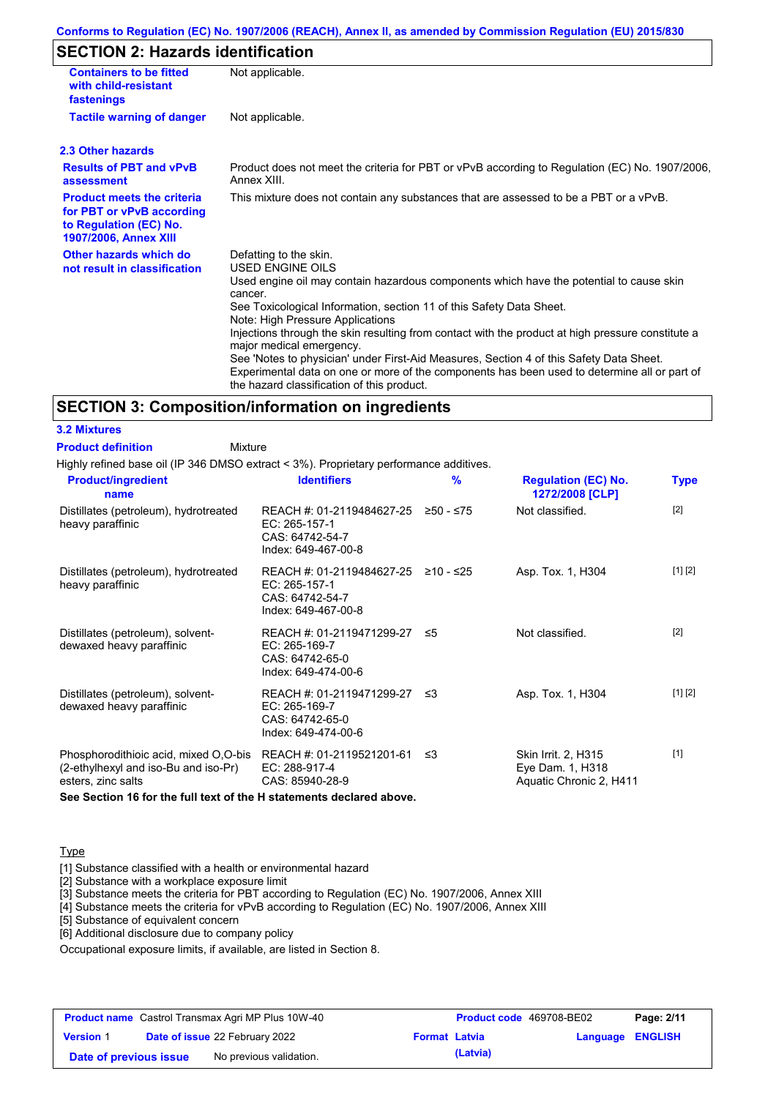#### **Conforms to Regulation (EC) No. 1907/2006 (REACH), Annex II, as amended by Commission Regulation (EU) 2015/830**

# **SECTION 2: Hazards identification**

| <b>Containers to be fitted</b><br>with child-resistant<br>fastenings                                                     | Not applicable.                                                                                                                                                                                                                                                                                                                                                   |
|--------------------------------------------------------------------------------------------------------------------------|-------------------------------------------------------------------------------------------------------------------------------------------------------------------------------------------------------------------------------------------------------------------------------------------------------------------------------------------------------------------|
| <b>Tactile warning of danger</b>                                                                                         | Not applicable.                                                                                                                                                                                                                                                                                                                                                   |
| 2.3 Other hazards                                                                                                        |                                                                                                                                                                                                                                                                                                                                                                   |
| <b>Results of PBT and vPvB</b><br>assessment                                                                             | Product does not meet the criteria for PBT or vPvB according to Regulation (EC) No. 1907/2006,<br>Annex XIII.                                                                                                                                                                                                                                                     |
| <b>Product meets the criteria</b><br>for PBT or vPvB according<br>to Regulation (EC) No.<br><b>1907/2006, Annex XIII</b> | This mixture does not contain any substances that are assessed to be a PBT or a vPvB.                                                                                                                                                                                                                                                                             |
| Other hazards which do<br>not result in classification                                                                   | Defatting to the skin.<br>USED ENGINE OILS<br>Used engine oil may contain hazardous components which have the potential to cause skin<br>cancer.<br>See Toxicological Information, section 11 of this Safety Data Sheet.<br>Note: High Pressure Applications<br>Injections through the skin resulting from contact with the product at high pressure constitute a |
|                                                                                                                          | major medical emergency.<br>See 'Notes to physician' under First-Aid Measures, Section 4 of this Safety Data Sheet.<br>Experimental data on one or more of the components has been used to determine all or part of<br>the hazard classification of this product.                                                                                                 |

#### **SECTION 3: Composition/information on ingredients**

**3.2 Mixtures Product definition**

**Mixture** 

Highly refined base oil (IP 346 DMSO extract < 3%). Proprietary performance additives.

| <b>Product/ingredient</b><br>name                                                                   | <b>Identifiers</b>                                                                             | $\frac{9}{6}$ | <b>Regulation (EC) No.</b><br>1272/2008 [CLP]                      | <b>Type</b> |
|-----------------------------------------------------------------------------------------------------|------------------------------------------------------------------------------------------------|---------------|--------------------------------------------------------------------|-------------|
| Distillates (petroleum), hydrotreated<br>heavy paraffinic                                           | REACH #: 01-2119484627-25<br>EC: 265-157-1<br>CAS: 64742-54-7<br>Index: 649-467-00-8           | ≥50 - ≤75     | Not classified.                                                    | $[2]$       |
| Distillates (petroleum), hydrotreated<br>heavy paraffinic                                           | REACH #: 01-2119484627-25 ≥10 - ≤25<br>EC: 265-157-1<br>CAS: 64742-54-7<br>Index: 649-467-00-8 |               | Asp. Tox. 1, H304                                                  | [1] [2]     |
| Distillates (petroleum), solvent-<br>dewaxed heavy paraffinic                                       | REACH #: 01-2119471299-27<br>EC: 265-169-7<br>CAS: 64742-65-0<br>Index: 649-474-00-6           | ≤5            | Not classified.                                                    | $[2]$       |
| Distillates (petroleum), solvent-<br>dewaxed heavy paraffinic                                       | REACH #: 01-2119471299-27 ≤3<br>EC: 265-169-7<br>CAS: 64742-65-0<br>Index: 649-474-00-6        |               | Asp. Tox. 1, H304                                                  | [1] [2]     |
| Phosphorodithioic acid, mixed O,O-bis<br>(2-ethylhexyl and iso-Bu and iso-Pr)<br>esters, zinc salts | REACH #: 01-2119521201-61<br>EC: 288-917-4<br>CAS: 85940-28-9                                  | ≤3            | Skin Irrit. 2, H315<br>Eye Dam. 1, H318<br>Aquatic Chronic 2, H411 | $[1]$       |

**See Section 16 for the full text of the H statements declared above.**

#### **Type**

[1] Substance classified with a health or environmental hazard

[2] Substance with a workplace exposure limit

[3] Substance meets the criteria for PBT according to Regulation (EC) No. 1907/2006, Annex XIII

[4] Substance meets the criteria for vPvB according to Regulation (EC) No. 1907/2006, Annex XIII

[5] Substance of equivalent concern

[6] Additional disclosure due to company policy

Occupational exposure limits, if available, are listed in Section 8.

| <b>Product name</b> Castrol Transmax Agri MP Plus 10W-40 |  |                                       | Product code 469708-BE02 |          | Page: 2/11              |  |
|----------------------------------------------------------|--|---------------------------------------|--------------------------|----------|-------------------------|--|
| <b>Version 1</b>                                         |  | <b>Date of issue 22 February 2022</b> | <b>Format Latvia</b>     |          | <b>Language ENGLISH</b> |  |
| Date of previous issue                                   |  | No previous validation.               |                          | (Latvia) |                         |  |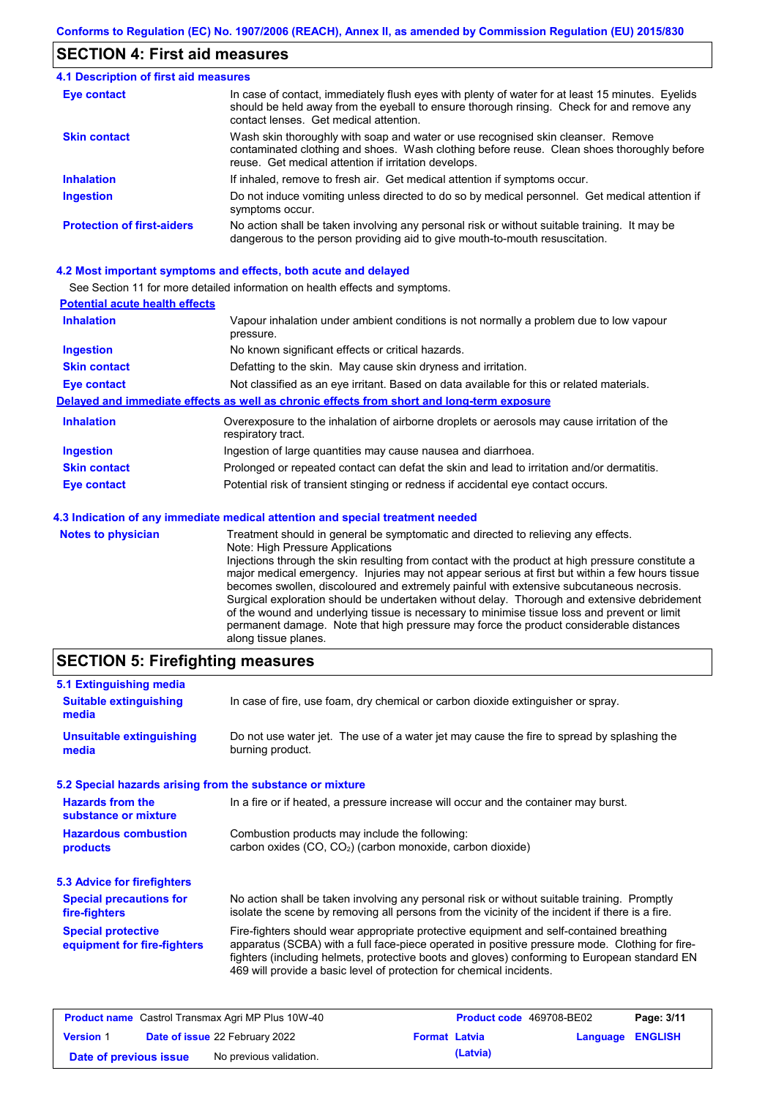### **SECTION 4: First aid measures**

| <b>4.1 Description of first aid measures</b> |                                                                                                                                                                                                                                         |
|----------------------------------------------|-----------------------------------------------------------------------------------------------------------------------------------------------------------------------------------------------------------------------------------------|
| <b>Eye contact</b>                           | In case of contact, immediately flush eyes with plenty of water for at least 15 minutes. Eyelids<br>should be held away from the eyeball to ensure thorough rinsing. Check for and remove any<br>contact lenses. Get medical attention. |
| <b>Skin contact</b>                          | Wash skin thoroughly with soap and water or use recognised skin cleanser. Remove<br>contaminated clothing and shoes. Wash clothing before reuse. Clean shoes thoroughly before<br>reuse. Get medical attention if irritation develops.  |
| <b>Inhalation</b>                            | If inhaled, remove to fresh air. Get medical attention if symptoms occur.                                                                                                                                                               |
| <b>Ingestion</b>                             | Do not induce vomiting unless directed to do so by medical personnel. Get medical attention if<br>symptoms occur.                                                                                                                       |
| <b>Protection of first-aiders</b>            | No action shall be taken involving any personal risk or without suitable training. It may be<br>dangerous to the person providing aid to give mouth-to-mouth resuscitation.                                                             |

#### **4.2 Most important symptoms and effects, both acute and delayed**

See Section 11 for more detailed information on health effects and symptoms.

| <b>Potential acute health effects</b> |                                                                                                                         |  |  |  |
|---------------------------------------|-------------------------------------------------------------------------------------------------------------------------|--|--|--|
| <b>Inhalation</b>                     | Vapour inhalation under ambient conditions is not normally a problem due to low vapour<br>pressure.                     |  |  |  |
| <b>Ingestion</b>                      | No known significant effects or critical hazards.                                                                       |  |  |  |
| <b>Skin contact</b>                   | Defatting to the skin. May cause skin dryness and irritation.                                                           |  |  |  |
| Eye contact                           | Not classified as an eye irritant. Based on data available for this or related materials.                               |  |  |  |
|                                       | Delayed and immediate effects as well as chronic effects from short and long-term exposure                              |  |  |  |
| <b>Inhalation</b>                     | Overexposure to the inhalation of airborne droplets or aerosols may cause irritation of the<br>respiratory tract.       |  |  |  |
| <b>Ingestion</b>                      | Ingestion of large quantities may cause nausea and diarrhoea.                                                           |  |  |  |
| <b>Skin contact</b>                   | Prolonged or repeated contact can defat the skin and lead to irritation and/or dermatitis.                              |  |  |  |
| Eye contact                           | Potential risk of transient stinging or redness if accidental eye contact occurs.                                       |  |  |  |
|                                       | 4.3 Indication of any immediate medical attention and special treatment needed                                          |  |  |  |
| <b>Notes to physician</b>             | Treatment should in general be symptomatic and directed to relieving any effects.<br>Nata: Utale Dasserias Arabications |  |  |  |

Note: High Pressure Applications Injections through the skin resulting from contact with the product at high pressure constitute a major medical emergency. Injuries may not appear serious at first but within a few hours tissue becomes swollen, discoloured and extremely painful with extensive subcutaneous necrosis. Surgical exploration should be undertaken without delay. Thorough and extensive debridement of the wound and underlying tissue is necessary to minimise tissue loss and prevent or limit permanent damage. Note that high pressure may force the product considerable distances along tissue planes.

### **SECTION 5: Firefighting measures**

| 5.1 Extinguishing media                                   |                                                                                                                                                                                                                                                                                                                                                                   |  |  |
|-----------------------------------------------------------|-------------------------------------------------------------------------------------------------------------------------------------------------------------------------------------------------------------------------------------------------------------------------------------------------------------------------------------------------------------------|--|--|
| <b>Suitable extinguishing</b><br>media                    | In case of fire, use foam, dry chemical or carbon dioxide extinguisher or spray.                                                                                                                                                                                                                                                                                  |  |  |
| <b>Unsuitable extinguishing</b><br>media                  | Do not use water jet. The use of a water jet may cause the fire to spread by splashing the<br>burning product.                                                                                                                                                                                                                                                    |  |  |
| 5.2 Special hazards arising from the substance or mixture |                                                                                                                                                                                                                                                                                                                                                                   |  |  |
| <b>Hazards from the</b><br>substance or mixture           | In a fire or if heated, a pressure increase will occur and the container may burst.                                                                                                                                                                                                                                                                               |  |  |
| <b>Hazardous combustion</b><br>products                   | Combustion products may include the following:<br>carbon oxides (CO, CO <sub>2</sub> ) (carbon monoxide, carbon dioxide)                                                                                                                                                                                                                                          |  |  |
| 5.3 Advice for firefighters                               |                                                                                                                                                                                                                                                                                                                                                                   |  |  |
| <b>Special precautions for</b><br>fire-fighters           | No action shall be taken involving any personal risk or without suitable training. Promptly<br>isolate the scene by removing all persons from the vicinity of the incident if there is a fire.                                                                                                                                                                    |  |  |
| <b>Special protective</b><br>equipment for fire-fighters  | Fire-fighters should wear appropriate protective equipment and self-contained breathing<br>apparatus (SCBA) with a full face-piece operated in positive pressure mode. Clothing for fire-<br>fighters (including helmets, protective boots and gloves) conforming to European standard EN<br>469 will provide a basic level of protection for chemical incidents. |  |  |

| <b>Product name</b> Castrol Transmax Agri MP Plus 10W-40 |  |                                       | <b>Product code</b> 469708-BE02 |          | Page: 3/11              |  |
|----------------------------------------------------------|--|---------------------------------------|---------------------------------|----------|-------------------------|--|
| <b>Version 1</b>                                         |  | <b>Date of issue 22 February 2022</b> | <b>Format Latvia</b>            |          | <b>Language ENGLISH</b> |  |
| Date of previous issue                                   |  | No previous validation.               |                                 | (Latvia) |                         |  |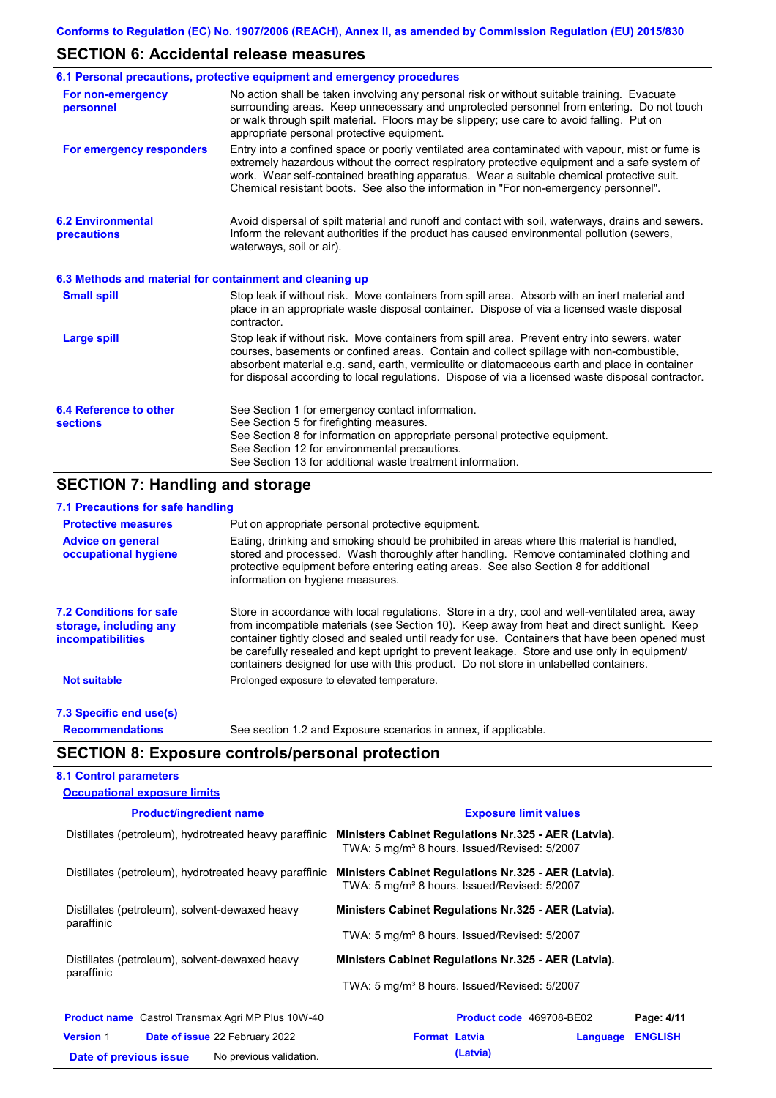## **SECTION 6: Accidental release measures**

|                                                          | 6.1 Personal precautions, protective equipment and emergency procedures                                                                                                                                                                                                                                                                                                                        |
|----------------------------------------------------------|------------------------------------------------------------------------------------------------------------------------------------------------------------------------------------------------------------------------------------------------------------------------------------------------------------------------------------------------------------------------------------------------|
| For non-emergency<br>personnel                           | No action shall be taken involving any personal risk or without suitable training. Evacuate<br>surrounding areas. Keep unnecessary and unprotected personnel from entering. Do not touch<br>or walk through spilt material. Floors may be slippery; use care to avoid falling. Put on<br>appropriate personal protective equipment.                                                            |
| For emergency responders                                 | Entry into a confined space or poorly ventilated area contaminated with vapour, mist or fume is<br>extremely hazardous without the correct respiratory protective equipment and a safe system of<br>work. Wear self-contained breathing apparatus. Wear a suitable chemical protective suit.<br>Chemical resistant boots. See also the information in "For non-emergency personnel".           |
| <b>6.2 Environmental</b><br>precautions                  | Avoid dispersal of spilt material and runoff and contact with soil, waterways, drains and sewers.<br>Inform the relevant authorities if the product has caused environmental pollution (sewers,<br>waterways, soil or air).                                                                                                                                                                    |
| 6.3 Methods and material for containment and cleaning up |                                                                                                                                                                                                                                                                                                                                                                                                |
| <b>Small spill</b>                                       | Stop leak if without risk. Move containers from spill area. Absorb with an inert material and<br>place in an appropriate waste disposal container. Dispose of via a licensed waste disposal<br>contractor.                                                                                                                                                                                     |
| <b>Large spill</b>                                       | Stop leak if without risk. Move containers from spill area. Prevent entry into sewers, water<br>courses, basements or confined areas. Contain and collect spillage with non-combustible,<br>absorbent material e.g. sand, earth, vermiculite or diatomaceous earth and place in container<br>for disposal according to local regulations. Dispose of via a licensed waste disposal contractor. |
| 6.4 Reference to other<br><b>sections</b>                | See Section 1 for emergency contact information.<br>See Section 5 for firefighting measures.<br>See Section 8 for information on appropriate personal protective equipment.<br>See Section 12 for environmental precautions.<br>See Section 13 for additional waste treatment information.                                                                                                     |

### **SECTION 7: Handling and storage**

### **7.1 Precautions for safe handling**

| <b>Protective measures</b>                                                           | Put on appropriate personal protective equipment.                                                                                                                                                                                                                                                                                                                                                                                                                                        |
|--------------------------------------------------------------------------------------|------------------------------------------------------------------------------------------------------------------------------------------------------------------------------------------------------------------------------------------------------------------------------------------------------------------------------------------------------------------------------------------------------------------------------------------------------------------------------------------|
| <b>Advice on general</b><br>occupational hygiene                                     | Eating, drinking and smoking should be prohibited in areas where this material is handled,<br>stored and processed. Wash thoroughly after handling. Remove contaminated clothing and<br>protective equipment before entering eating areas. See also Section 8 for additional<br>information on hygiene measures.                                                                                                                                                                         |
| <b>7.2 Conditions for safe</b><br>storage, including any<br><i>incompatibilities</i> | Store in accordance with local requiations. Store in a dry, cool and well-ventilated area, away<br>from incompatible materials (see Section 10). Keep away from heat and direct sunlight. Keep<br>container tightly closed and sealed until ready for use. Containers that have been opened must<br>be carefully resealed and kept upright to prevent leakage. Store and use only in equipment/<br>containers designed for use with this product. Do not store in unlabelled containers. |
| <b>Not suitable</b>                                                                  | Prolonged exposure to elevated temperature.                                                                                                                                                                                                                                                                                                                                                                                                                                              |
| 7.3 Specific end use(s)                                                              |                                                                                                                                                                                                                                                                                                                                                                                                                                                                                          |
| <b>Recommendations</b>                                                               | See section 1.2 and Exposure scenarios in annex, if applicable.                                                                                                                                                                                                                                                                                                                                                                                                                          |

## **SECTION 8: Exposure controls/personal protection**

### **8.1 Control parameters**

| <b>Occupational exposure limits</b>                       |                                                                                                                  |                |  |  |  |  |
|-----------------------------------------------------------|------------------------------------------------------------------------------------------------------------------|----------------|--|--|--|--|
| <b>Product/ingredient name</b>                            | <b>Exposure limit values</b>                                                                                     |                |  |  |  |  |
| Distillates (petroleum), hydrotreated heavy paraffinic    | Ministers Cabinet Regulations Nr.325 - AER (Latvia).<br>TWA: 5 mg/m <sup>3</sup> 8 hours. Issued/Revised: 5/2007 |                |  |  |  |  |
| Distillates (petroleum), hydrotreated heavy paraffinic    | Ministers Cabinet Regulations Nr.325 - AER (Latvia).<br>TWA: 5 mg/m <sup>3</sup> 8 hours. Issued/Revised: 5/2007 |                |  |  |  |  |
| Distillates (petroleum), solvent-dewaxed heavy            | Ministers Cabinet Regulations Nr.325 - AER (Latvia).                                                             |                |  |  |  |  |
| paraffinic                                                | TWA: 5 mg/m <sup>3</sup> 8 hours. Issued/Revised: 5/2007                                                         |                |  |  |  |  |
| Distillates (petroleum), solvent-dewaxed heavy            | Ministers Cabinet Regulations Nr.325 - AER (Latvia).                                                             |                |  |  |  |  |
| paraffinic                                                | TWA: 5 mg/m <sup>3</sup> 8 hours. Issued/Revised: 5/2007                                                         |                |  |  |  |  |
| <b>Product name</b> Castrol Transmax Agri MP Plus 10W-40  | Product code 469708-BE02                                                                                         | Page: 4/11     |  |  |  |  |
| <b>Version 1</b><br><b>Date of issue 22 February 2022</b> | <b>Format Latvia</b><br>Language                                                                                 | <b>ENGLISH</b> |  |  |  |  |
| No previous validation.<br>Date of previous issue         | (Latvia)                                                                                                         |                |  |  |  |  |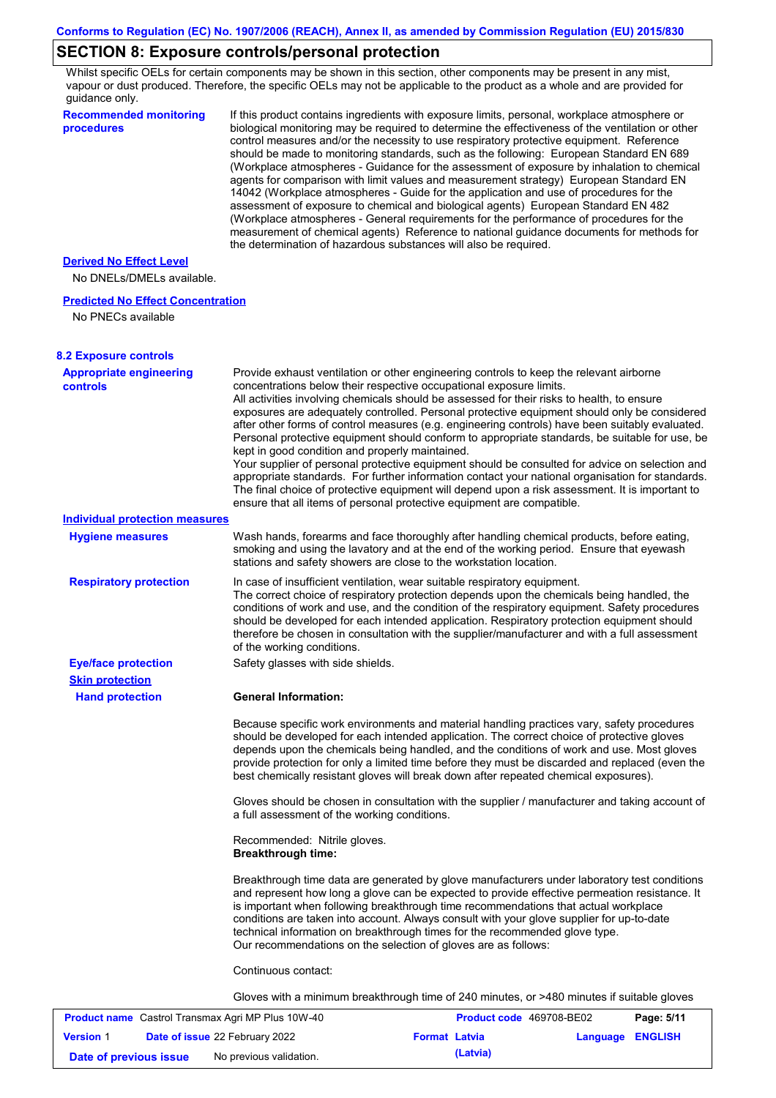# **SECTION 8: Exposure controls/personal protection**

Whilst specific OELs for certain components may be shown in this section, other components may be present in any mist, vapour or dust produced. Therefore, the specific OELs may not be applicable to the product as a whole and are provided for guidance only.

| guidance only.                                    |                                                                                                                                                                                                                                                                                                                                                                                                                                                                                                                                                                                                                                                                                                                                                                                                                                                                                                                                                                                                                            |
|---------------------------------------------------|----------------------------------------------------------------------------------------------------------------------------------------------------------------------------------------------------------------------------------------------------------------------------------------------------------------------------------------------------------------------------------------------------------------------------------------------------------------------------------------------------------------------------------------------------------------------------------------------------------------------------------------------------------------------------------------------------------------------------------------------------------------------------------------------------------------------------------------------------------------------------------------------------------------------------------------------------------------------------------------------------------------------------|
| <b>Recommended monitoring</b><br>procedures       | If this product contains ingredients with exposure limits, personal, workplace atmosphere or<br>biological monitoring may be required to determine the effectiveness of the ventilation or other<br>control measures and/or the necessity to use respiratory protective equipment. Reference<br>should be made to monitoring standards, such as the following: European Standard EN 689<br>(Workplace atmospheres - Guidance for the assessment of exposure by inhalation to chemical<br>agents for comparison with limit values and measurement strategy) European Standard EN<br>14042 (Workplace atmospheres - Guide for the application and use of procedures for the<br>assessment of exposure to chemical and biological agents) European Standard EN 482<br>(Workplace atmospheres - General requirements for the performance of procedures for the<br>measurement of chemical agents) Reference to national guidance documents for methods for<br>the determination of hazardous substances will also be required. |
| <b>Derived No Effect Level</b>                    |                                                                                                                                                                                                                                                                                                                                                                                                                                                                                                                                                                                                                                                                                                                                                                                                                                                                                                                                                                                                                            |
| No DNELs/DMELs available.                         |                                                                                                                                                                                                                                                                                                                                                                                                                                                                                                                                                                                                                                                                                                                                                                                                                                                                                                                                                                                                                            |
| <b>Predicted No Effect Concentration</b>          |                                                                                                                                                                                                                                                                                                                                                                                                                                                                                                                                                                                                                                                                                                                                                                                                                                                                                                                                                                                                                            |
| No PNECs available                                |                                                                                                                                                                                                                                                                                                                                                                                                                                                                                                                                                                                                                                                                                                                                                                                                                                                                                                                                                                                                                            |
| <b>8.2 Exposure controls</b>                      |                                                                                                                                                                                                                                                                                                                                                                                                                                                                                                                                                                                                                                                                                                                                                                                                                                                                                                                                                                                                                            |
| <b>Appropriate engineering</b><br><b>controls</b> | Provide exhaust ventilation or other engineering controls to keep the relevant airborne<br>concentrations below their respective occupational exposure limits.<br>All activities involving chemicals should be assessed for their risks to health, to ensure<br>exposures are adequately controlled. Personal protective equipment should only be considered<br>after other forms of control measures (e.g. engineering controls) have been suitably evaluated.<br>Personal protective equipment should conform to appropriate standards, be suitable for use, be<br>kept in good condition and properly maintained.<br>Your supplier of personal protective equipment should be consulted for advice on selection and<br>appropriate standards. For further information contact your national organisation for standards.<br>The final choice of protective equipment will depend upon a risk assessment. It is important to<br>ensure that all items of personal protective equipment are compatible.                    |
| <b>Individual protection measures</b>             |                                                                                                                                                                                                                                                                                                                                                                                                                                                                                                                                                                                                                                                                                                                                                                                                                                                                                                                                                                                                                            |
| <b>Hygiene measures</b>                           | Wash hands, forearms and face thoroughly after handling chemical products, before eating,<br>smoking and using the lavatory and at the end of the working period. Ensure that eyewash<br>stations and safety showers are close to the workstation location.                                                                                                                                                                                                                                                                                                                                                                                                                                                                                                                                                                                                                                                                                                                                                                |
| <b>Respiratory protection</b>                     | In case of insufficient ventilation, wear suitable respiratory equipment.<br>The correct choice of respiratory protection depends upon the chemicals being handled, the<br>conditions of work and use, and the condition of the respiratory equipment. Safety procedures<br>should be developed for each intended application. Respiratory protection equipment should<br>therefore be chosen in consultation with the supplier/manufacturer and with a full assessment<br>of the working conditions.                                                                                                                                                                                                                                                                                                                                                                                                                                                                                                                      |
| <b>Eye/face protection</b>                        | Safety glasses with side shields.                                                                                                                                                                                                                                                                                                                                                                                                                                                                                                                                                                                                                                                                                                                                                                                                                                                                                                                                                                                          |
| <b>Skin protection</b>                            |                                                                                                                                                                                                                                                                                                                                                                                                                                                                                                                                                                                                                                                                                                                                                                                                                                                                                                                                                                                                                            |
| <b>Hand protection</b>                            | <b>General Information:</b>                                                                                                                                                                                                                                                                                                                                                                                                                                                                                                                                                                                                                                                                                                                                                                                                                                                                                                                                                                                                |
|                                                   | Because specific work environments and material handling practices vary, safety procedures<br>should be developed for each intended application. The correct choice of protective gloves<br>depends upon the chemicals being handled, and the conditions of work and use. Most gloves<br>provide protection for only a limited time before they must be discarded and replaced (even the<br>best chemically resistant gloves will break down after repeated chemical exposures).                                                                                                                                                                                                                                                                                                                                                                                                                                                                                                                                           |
|                                                   | Gloves should be chosen in consultation with the supplier / manufacturer and taking account of<br>a full assessment of the working conditions.                                                                                                                                                                                                                                                                                                                                                                                                                                                                                                                                                                                                                                                                                                                                                                                                                                                                             |
|                                                   | Recommended: Nitrile gloves.<br><b>Breakthrough time:</b>                                                                                                                                                                                                                                                                                                                                                                                                                                                                                                                                                                                                                                                                                                                                                                                                                                                                                                                                                                  |
|                                                   | Breakthrough time data are generated by glove manufacturers under laboratory test conditions<br>and represent how long a glove can be expected to provide effective permeation resistance. It<br>is important when following breakthrough time recommendations that actual workplace<br>conditions are taken into account. Always consult with your glove supplier for up-to-date<br>technical information on breakthrough times for the recommended glove type.<br>Our recommendations on the selection of gloves are as follows:                                                                                                                                                                                                                                                                                                                                                                                                                                                                                         |
|                                                   | Continuous contact:                                                                                                                                                                                                                                                                                                                                                                                                                                                                                                                                                                                                                                                                                                                                                                                                                                                                                                                                                                                                        |
|                                                   | Gloves with a minimum breakthrough time of 240 minutes, or >480 minutes if suitable gloves                                                                                                                                                                                                                                                                                                                                                                                                                                                                                                                                                                                                                                                                                                                                                                                                                                                                                                                                 |
|                                                   |                                                                                                                                                                                                                                                                                                                                                                                                                                                                                                                                                                                                                                                                                                                                                                                                                                                                                                                                                                                                                            |

|                        | <b>Product name</b> Castrol Transmax Agri MP Plus 10W-40 |                      | <b>Product code</b> 469708-BE02 |                  | Page: 5/11 |
|------------------------|----------------------------------------------------------|----------------------|---------------------------------|------------------|------------|
| <b>Version 1</b>       | <b>Date of issue 22 February 2022</b>                    | <b>Format Latvia</b> |                                 | Language ENGLISH |            |
| Date of previous issue | No previous validation.                                  |                      | (Latvia)                        |                  |            |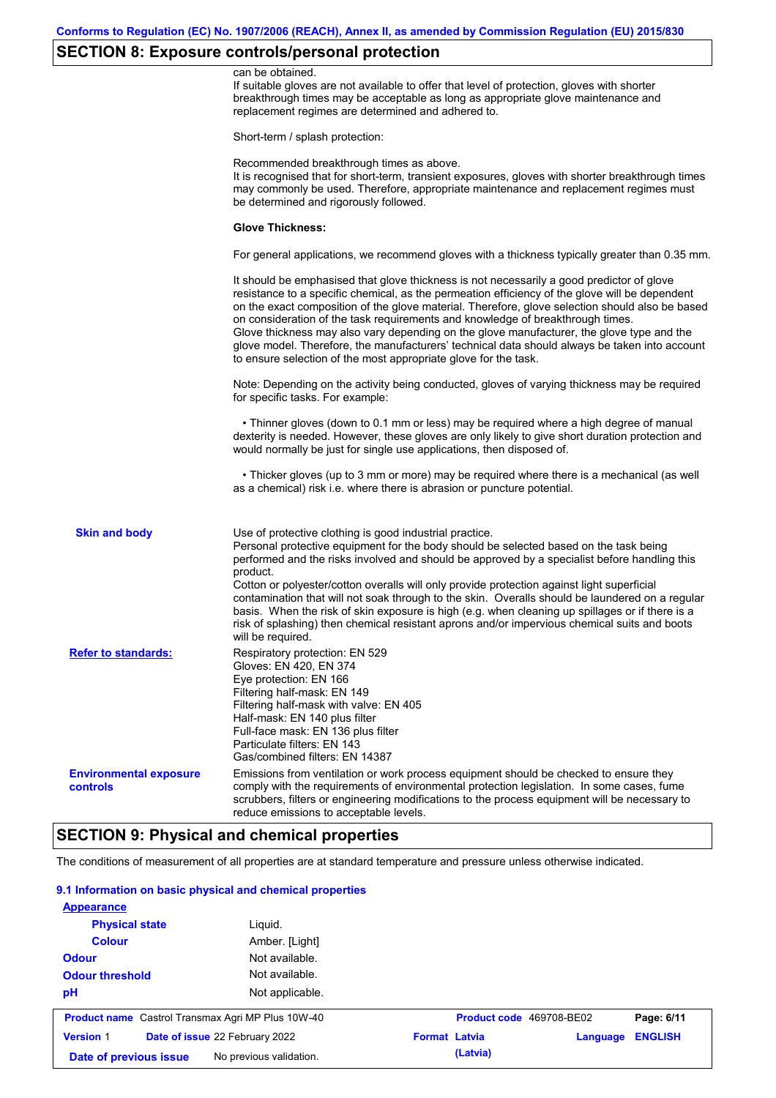# **SECTION 8: Exposure controls/personal protection**

|                                                  | can be obtained.<br>If suitable gloves are not available to offer that level of protection, gloves with shorter<br>breakthrough times may be acceptable as long as appropriate glove maintenance and<br>replacement regimes are determined and adhered to.                                                                                                                                                                                                                                                                                                                                                                                        |
|--------------------------------------------------|---------------------------------------------------------------------------------------------------------------------------------------------------------------------------------------------------------------------------------------------------------------------------------------------------------------------------------------------------------------------------------------------------------------------------------------------------------------------------------------------------------------------------------------------------------------------------------------------------------------------------------------------------|
|                                                  | Short-term / splash protection:                                                                                                                                                                                                                                                                                                                                                                                                                                                                                                                                                                                                                   |
|                                                  | Recommended breakthrough times as above.<br>It is recognised that for short-term, transient exposures, gloves with shorter breakthrough times<br>may commonly be used. Therefore, appropriate maintenance and replacement regimes must<br>be determined and rigorously followed.                                                                                                                                                                                                                                                                                                                                                                  |
|                                                  | <b>Glove Thickness:</b>                                                                                                                                                                                                                                                                                                                                                                                                                                                                                                                                                                                                                           |
|                                                  | For general applications, we recommend gloves with a thickness typically greater than 0.35 mm.                                                                                                                                                                                                                                                                                                                                                                                                                                                                                                                                                    |
|                                                  | It should be emphasised that glove thickness is not necessarily a good predictor of glove<br>resistance to a specific chemical, as the permeation efficiency of the glove will be dependent<br>on the exact composition of the glove material. Therefore, glove selection should also be based<br>on consideration of the task requirements and knowledge of breakthrough times.<br>Glove thickness may also vary depending on the glove manufacturer, the glove type and the<br>glove model. Therefore, the manufacturers' technical data should always be taken into account<br>to ensure selection of the most appropriate glove for the task. |
|                                                  | Note: Depending on the activity being conducted, gloves of varying thickness may be required<br>for specific tasks. For example:                                                                                                                                                                                                                                                                                                                                                                                                                                                                                                                  |
|                                                  | • Thinner gloves (down to 0.1 mm or less) may be required where a high degree of manual<br>dexterity is needed. However, these gloves are only likely to give short duration protection and<br>would normally be just for single use applications, then disposed of.                                                                                                                                                                                                                                                                                                                                                                              |
|                                                  | • Thicker gloves (up to 3 mm or more) may be required where there is a mechanical (as well<br>as a chemical) risk i.e. where there is abrasion or puncture potential.                                                                                                                                                                                                                                                                                                                                                                                                                                                                             |
| <b>Skin and body</b>                             | Use of protective clothing is good industrial practice.<br>Personal protective equipment for the body should be selected based on the task being<br>performed and the risks involved and should be approved by a specialist before handling this<br>product.<br>Cotton or polyester/cotton overalls will only provide protection against light superficial<br>contamination that will not soak through to the skin. Overalls should be laundered on a regular<br>basis. When the risk of skin exposure is high (e.g. when cleaning up spillages or if there is a                                                                                  |
|                                                  | risk of splashing) then chemical resistant aprons and/or impervious chemical suits and boots<br>will be required.                                                                                                                                                                                                                                                                                                                                                                                                                                                                                                                                 |
| <b>Refer to standards:</b>                       | Respiratory protection: EN 529<br>Gloves: EN 420, EN 374<br>Eye protection: EN 166<br>Filtering half-mask: EN 149<br>Filtering half-mask with valve: EN 405<br>Half-mask: EN 140 plus filter<br>Full-face mask: EN 136 plus filter<br>Particulate filters: EN 143<br>Gas/combined filters: EN 14387                                                                                                                                                                                                                                                                                                                                               |
| <b>Environmental exposure</b><br><b>controls</b> | Emissions from ventilation or work process equipment should be checked to ensure they<br>comply with the requirements of environmental protection legislation. In some cases, fume<br>scrubbers, filters or engineering modifications to the process equipment will be necessary to<br>reduce emissions to acceptable levels.                                                                                                                                                                                                                                                                                                                     |

# **SECTION 9: Physical and chemical properties**

The conditions of measurement of all properties are at standard temperature and pressure unless otherwise indicated.

### **9.1 Information on basic physical and chemical properties**

| <b>Appearance</b>                                        |                         |                      |                          |          |                |
|----------------------------------------------------------|-------------------------|----------------------|--------------------------|----------|----------------|
| <b>Physical state</b>                                    | Liguid.                 |                      |                          |          |                |
| <b>Colour</b>                                            | Amber. [Light]          |                      |                          |          |                |
| <b>Odour</b>                                             | Not available.          |                      |                          |          |                |
| <b>Odour threshold</b>                                   | Not available.          |                      |                          |          |                |
| pH                                                       | Not applicable.         |                      |                          |          |                |
| <b>Product name</b> Castrol Transmax Agri MP Plus 10W-40 |                         |                      | Product code 469708-BE02 |          | Page: 6/11     |
| <b>Version 1</b><br>Date of issue 22 February 2022       |                         | <b>Format Latvia</b> |                          | Language | <b>ENGLISH</b> |
| Date of previous issue                                   | No previous validation. |                      | (Latvia)                 |          |                |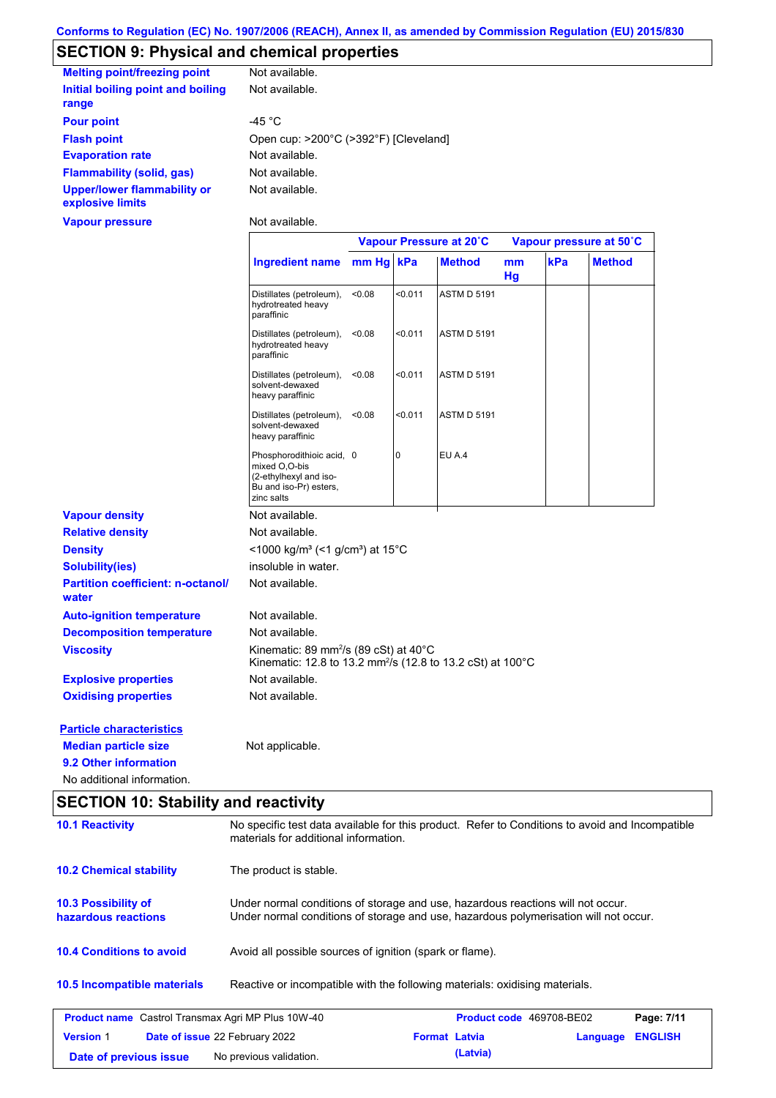# **SECTION 9: Physical and chemical properties**

| <b>Melting point/freezing point</b>                    | Not available.                        |
|--------------------------------------------------------|---------------------------------------|
| Initial boiling point and boiling<br>range             | Not available.                        |
| <b>Pour point</b>                                      | -45 °C                                |
| <b>Flash point</b>                                     | Open cup: >200°C (>392°F) [Cleveland] |
| <b>Evaporation rate</b>                                | Not available.                        |
| <b>Flammability (solid, gas)</b>                       | Not available.                        |
| <b>Upper/lower flammability or</b><br>explosive limits | Not available.                        |
| <b>Vapour pressure</b>                                 | Not available.                        |

|                                                   |                                                                                                                                       | Vapour Pressure at 20°C |         |                    | Vapour pressure at 50°C |     |               |
|---------------------------------------------------|---------------------------------------------------------------------------------------------------------------------------------------|-------------------------|---------|--------------------|-------------------------|-----|---------------|
|                                                   | <b>Ingredient name</b>                                                                                                                | mm Hg kPa               |         | <b>Method</b>      | mm<br>Hg                | kPa | <b>Method</b> |
|                                                   | Distillates (petroleum),<br>hydrotreated heavy<br>paraffinic                                                                          | < 0.08                  | < 0.011 | <b>ASTM D 5191</b> |                         |     |               |
|                                                   | Distillates (petroleum),<br>hydrotreated heavy<br>paraffinic                                                                          | < 0.08                  | < 0.011 | <b>ASTM D 5191</b> |                         |     |               |
|                                                   | Distillates (petroleum),<br>solvent-dewaxed<br>heavy paraffinic                                                                       | < 0.08                  | < 0.011 | <b>ASTM D 5191</b> |                         |     |               |
|                                                   | Distillates (petroleum),<br>solvent-dewaxed<br>heavy paraffinic                                                                       | < 0.08                  | < 0.011 | <b>ASTM D 5191</b> |                         |     |               |
|                                                   | Phosphorodithioic acid, 0<br>mixed O,O-bis<br>(2-ethylhexyl and iso-<br>Bu and iso-Pr) esters,<br>zinc salts                          |                         | 0       | EU A.4             |                         |     |               |
| <b>Vapour density</b>                             | Not available.                                                                                                                        |                         |         |                    |                         |     |               |
| <b>Relative density</b>                           | Not available.                                                                                                                        |                         |         |                    |                         |     |               |
| <b>Density</b>                                    | <1000 kg/m <sup>3</sup> (<1 g/cm <sup>3</sup> ) at 15°C                                                                               |                         |         |                    |                         |     |               |
| <b>Solubility(ies)</b>                            | insoluble in water.                                                                                                                   |                         |         |                    |                         |     |               |
| <b>Partition coefficient: n-octanol/</b><br>water | Not available.                                                                                                                        |                         |         |                    |                         |     |               |
| <b>Auto-ignition temperature</b>                  | Not available.                                                                                                                        |                         |         |                    |                         |     |               |
| <b>Decomposition temperature</b>                  | Not available.                                                                                                                        |                         |         |                    |                         |     |               |
| <b>Viscosity</b>                                  | Kinematic: 89 mm <sup>2</sup> /s (89 cSt) at $40^{\circ}$ C<br>Kinematic: 12.8 to 13.2 mm <sup>2</sup> /s (12.8 to 13.2 cSt) at 100°C |                         |         |                    |                         |     |               |
| <b>Explosive properties</b>                       | Not available.                                                                                                                        |                         |         |                    |                         |     |               |
| <b>Oxidising properties</b>                       | Not available.                                                                                                                        |                         |         |                    |                         |     |               |
| <b>Particle characteristics</b>                   |                                                                                                                                       |                         |         |                    |                         |     |               |
| <b>Median particle size</b>                       | Not applicable.                                                                                                                       |                         |         |                    |                         |     |               |
| 9.2 Other information                             |                                                                                                                                       |                         |         |                    |                         |     |               |
| No additional information.                        |                                                                                                                                       |                         |         |                    |                         |     |               |

# **SECTION 10: Stability and reactivity**

| <b>10.1 Reactivity</b>                                    | No specific test data available for this product. Refer to Conditions to avoid and Incompatible<br>materials for additional information.                                |                      |                                 |          |                |  |
|-----------------------------------------------------------|-------------------------------------------------------------------------------------------------------------------------------------------------------------------------|----------------------|---------------------------------|----------|----------------|--|
| <b>10.2 Chemical stability</b>                            | The product is stable.                                                                                                                                                  |                      |                                 |          |                |  |
| <b>10.3 Possibility of</b><br>hazardous reactions         | Under normal conditions of storage and use, hazardous reactions will not occur.<br>Under normal conditions of storage and use, hazardous polymerisation will not occur. |                      |                                 |          |                |  |
| <b>10.4 Conditions to avoid</b>                           | Avoid all possible sources of ignition (spark or flame).                                                                                                                |                      |                                 |          |                |  |
| <b>10.5 Incompatible materials</b>                        | Reactive or incompatible with the following materials: oxidising materials.                                                                                             |                      |                                 |          |                |  |
| <b>Product name</b> Castrol Transmax Agri MP Plus 10W-40  |                                                                                                                                                                         |                      | <b>Product code</b> 469708-BE02 |          | Page: 7/11     |  |
| <b>Version 1</b><br><b>Date of issue 22 February 2022</b> |                                                                                                                                                                         | <b>Format Latvia</b> |                                 | Language | <b>ENGLISH</b> |  |
| Date of previous issue                                    | No previous validation.                                                                                                                                                 |                      | (Latvia)                        |          |                |  |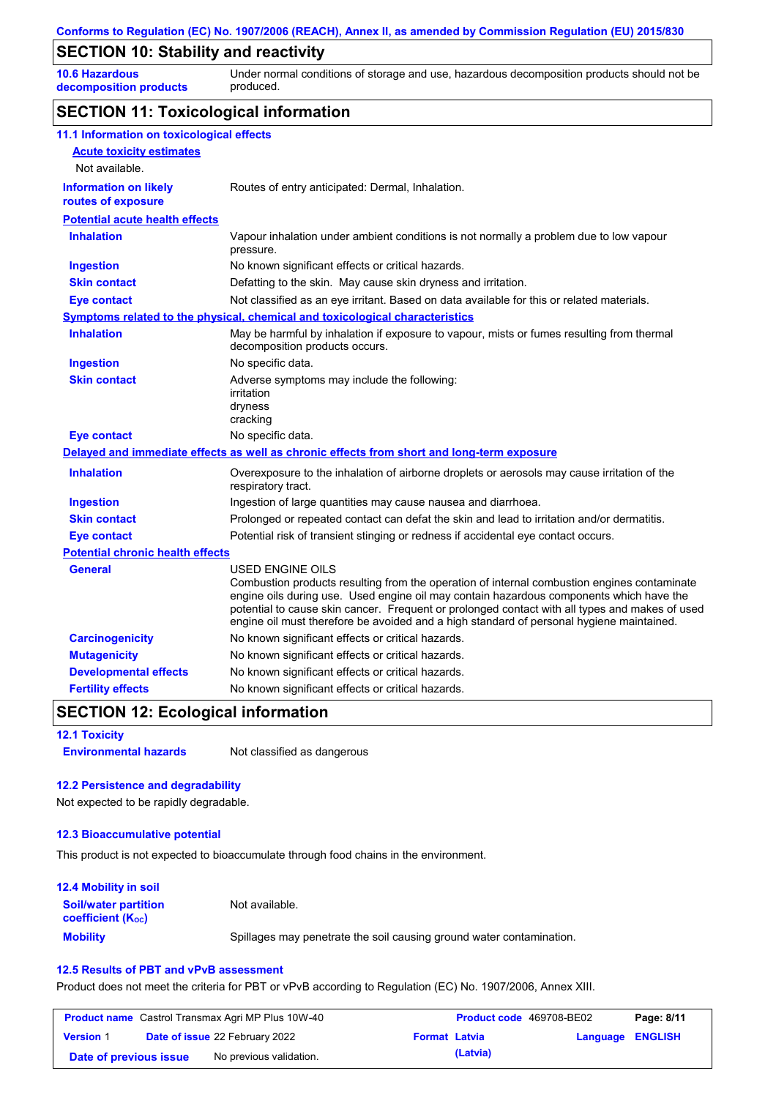### **SECTION 10: Stability and reactivity**

**10.6 Hazardous decomposition products** Under normal conditions of storage and use, hazardous decomposition products should not be produced.

### **SECTION 11: Toxicological information**

| 11.1 Information on toxicological effects          |                                                                                                                                                                                                                                                                                                                                                                                                                 |
|----------------------------------------------------|-----------------------------------------------------------------------------------------------------------------------------------------------------------------------------------------------------------------------------------------------------------------------------------------------------------------------------------------------------------------------------------------------------------------|
| <b>Acute toxicity estimates</b>                    |                                                                                                                                                                                                                                                                                                                                                                                                                 |
| Not available.                                     |                                                                                                                                                                                                                                                                                                                                                                                                                 |
| <b>Information on likely</b><br>routes of exposure | Routes of entry anticipated: Dermal, Inhalation.                                                                                                                                                                                                                                                                                                                                                                |
| <b>Potential acute health effects</b>              |                                                                                                                                                                                                                                                                                                                                                                                                                 |
| <b>Inhalation</b>                                  | Vapour inhalation under ambient conditions is not normally a problem due to low vapour<br>pressure.                                                                                                                                                                                                                                                                                                             |
| <b>Ingestion</b>                                   | No known significant effects or critical hazards.                                                                                                                                                                                                                                                                                                                                                               |
| <b>Skin contact</b>                                | Defatting to the skin. May cause skin dryness and irritation.                                                                                                                                                                                                                                                                                                                                                   |
| <b>Eye contact</b>                                 | Not classified as an eye irritant. Based on data available for this or related materials.                                                                                                                                                                                                                                                                                                                       |
|                                                    | Symptoms related to the physical, chemical and toxicological characteristics                                                                                                                                                                                                                                                                                                                                    |
| <b>Inhalation</b>                                  | May be harmful by inhalation if exposure to vapour, mists or fumes resulting from thermal<br>decomposition products occurs.                                                                                                                                                                                                                                                                                     |
| <b>Ingestion</b>                                   | No specific data.                                                                                                                                                                                                                                                                                                                                                                                               |
| <b>Skin contact</b>                                | Adverse symptoms may include the following:<br>irritation<br>dryness<br>cracking                                                                                                                                                                                                                                                                                                                                |
| <b>Eye contact</b>                                 | No specific data.                                                                                                                                                                                                                                                                                                                                                                                               |
|                                                    | Delayed and immediate effects as well as chronic effects from short and long-term exposure                                                                                                                                                                                                                                                                                                                      |
| <b>Inhalation</b>                                  | Overexposure to the inhalation of airborne droplets or aerosols may cause irritation of the<br>respiratory tract.                                                                                                                                                                                                                                                                                               |
| <b>Ingestion</b>                                   | Ingestion of large quantities may cause nausea and diarrhoea.                                                                                                                                                                                                                                                                                                                                                   |
| <b>Skin contact</b>                                | Prolonged or repeated contact can defat the skin and lead to irritation and/or dermatitis.                                                                                                                                                                                                                                                                                                                      |
| <b>Eye contact</b>                                 | Potential risk of transient stinging or redness if accidental eye contact occurs.                                                                                                                                                                                                                                                                                                                               |
| <b>Potential chronic health effects</b>            |                                                                                                                                                                                                                                                                                                                                                                                                                 |
| <b>General</b>                                     | <b>USED ENGINE OILS</b><br>Combustion products resulting from the operation of internal combustion engines contaminate<br>engine oils during use. Used engine oil may contain hazardous components which have the<br>potential to cause skin cancer. Frequent or prolonged contact with all types and makes of used<br>engine oil must therefore be avoided and a high standard of personal hygiene maintained. |
| <b>Carcinogenicity</b>                             | No known significant effects or critical hazards.                                                                                                                                                                                                                                                                                                                                                               |
| <b>Mutagenicity</b>                                | No known significant effects or critical hazards.                                                                                                                                                                                                                                                                                                                                                               |
| <b>Developmental effects</b>                       | No known significant effects or critical hazards.                                                                                                                                                                                                                                                                                                                                                               |
| <b>Fertility effects</b>                           | No known significant effects or critical hazards.                                                                                                                                                                                                                                                                                                                                                               |

### **SECTION 12: Ecological information**

**12.1 Toxicity Environmental hazards** Not classified as dangerous

#### **12.2 Persistence and degradability**

Not expected to be rapidly degradable.

#### **12.3 Bioaccumulative potential**

This product is not expected to bioaccumulate through food chains in the environment.

#### **Mobility** Spillages may penetrate the soil causing ground water contamination. **12.4 Mobility in soil Soil/water partition coefficient (Koc)** Not available.

#### **12.5 Results of PBT and vPvB assessment**

Product does not meet the criteria for PBT or vPvB according to Regulation (EC) No. 1907/2006, Annex XIII.

|                        | <b>Product name</b> Castrol Transmax Agri MP Plus 10W-40 |                      | <b>Product code</b> 469708-BE02 |                  | Page: 8/11 |
|------------------------|----------------------------------------------------------|----------------------|---------------------------------|------------------|------------|
| <b>Version 1</b>       | <b>Date of issue 22 February 2022</b>                    | <b>Format Latvia</b> |                                 | Language ENGLISH |            |
| Date of previous issue | No previous validation.                                  |                      | (Latvia)                        |                  |            |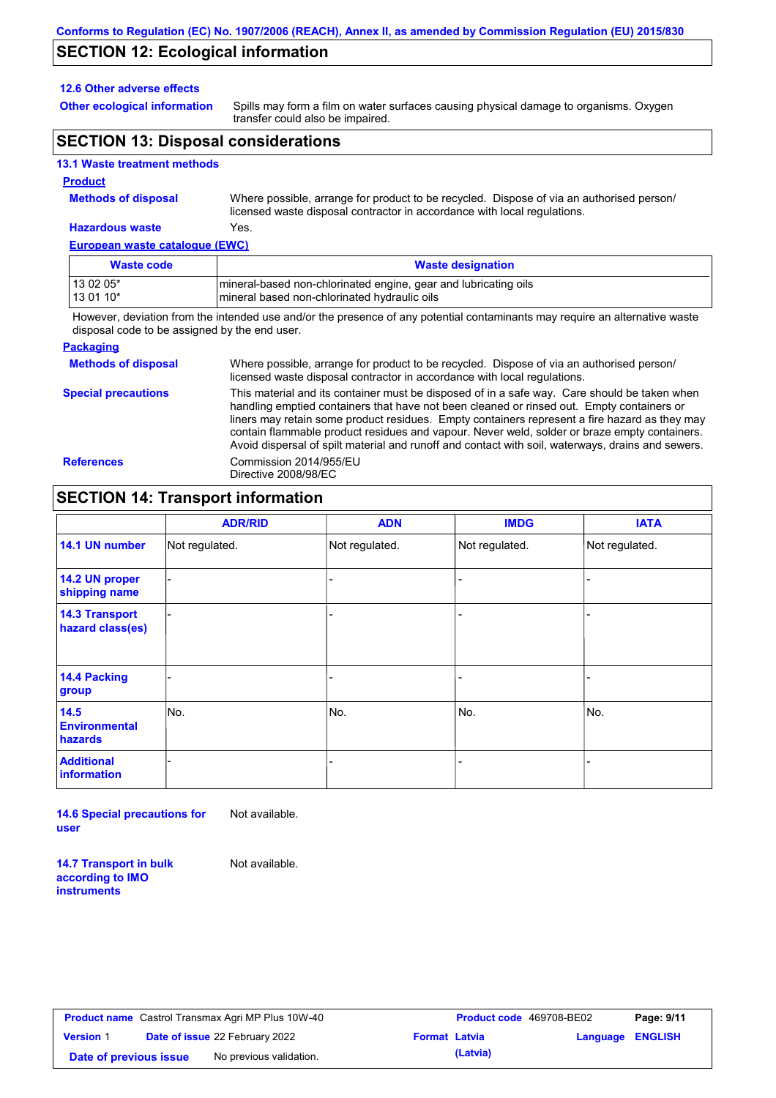### **SECTION 12: Ecological information**

#### **12.6 Other adverse effects**

**Other ecological information**

Spills may form a film on water surfaces causing physical damage to organisms. Oxygen transfer could also be impaired.

### **SECTION 13: Disposal considerations**

### **13.1 Waste treatment methods**

#### **Product**

**Methods of disposal**

Where possible, arrange for product to be recycled. Dispose of via an authorised person/ licensed waste disposal contractor in accordance with local regulations.

#### **European waste catalogue (EWC) Hazardous waste** Yes.

| <u>European waste catalogue (ETTO)</u> |                                                                                                                   |  |  |  |
|----------------------------------------|-------------------------------------------------------------------------------------------------------------------|--|--|--|
| Waste code                             | <b>Waste designation</b>                                                                                          |  |  |  |
| 13 02 05*<br>$130110*$                 | Imineral-based non-chlorinated engine, gear and lubricating oils<br>Imineral based non-chlorinated hydraulic oils |  |  |  |
|                                        |                                                                                                                   |  |  |  |

However, deviation from the intended use and/or the presence of any potential contaminants may require an alternative waste disposal code to be assigned by the end user.

#### **Packaging**

| <b>Methods of disposal</b> | Where possible, arrange for product to be recycled. Dispose of via an authorised person/<br>licensed waste disposal contractor in accordance with local regulations.                                                                                                                                                                                                                                                                                                                            |
|----------------------------|-------------------------------------------------------------------------------------------------------------------------------------------------------------------------------------------------------------------------------------------------------------------------------------------------------------------------------------------------------------------------------------------------------------------------------------------------------------------------------------------------|
| <b>Special precautions</b> | This material and its container must be disposed of in a safe way. Care should be taken when<br>handling emptied containers that have not been cleaned or rinsed out. Empty containers or<br>liners may retain some product residues. Empty containers represent a fire hazard as they may<br>contain flammable product residues and vapour. Never weld, solder or braze empty containers.<br>Avoid dispersal of spilt material and runoff and contact with soil, waterways, drains and sewers. |
| <b>References</b>          | Commission 2014/955/EU<br>Directive 2008/98/EC                                                                                                                                                                                                                                                                                                                                                                                                                                                  |

### **SECTION 14: Transport information**

|                                           | <b>ADR/RID</b> | <b>ADN</b>     | <b>IMDG</b>              | <b>IATA</b>    |
|-------------------------------------------|----------------|----------------|--------------------------|----------------|
| 14.1 UN number                            | Not regulated. | Not regulated. | Not regulated.           | Not regulated. |
| 14.2 UN proper<br>shipping name           |                |                |                          |                |
| <b>14.3 Transport</b><br>hazard class(es) |                |                | $\overline{\phantom{0}}$ |                |
| 14.4 Packing<br>group                     |                |                | $\blacksquare$           |                |
| $14.5$<br><b>Environmental</b><br>hazards | No.            | No.            | No.                      | No.            |
| <b>Additional</b><br><b>information</b>   |                |                | -                        |                |

**14.6 Special precautions for user** Not available.

**14.7 Transport in bulk** 

**according to IMO instruments**

Not available.

|                        | <b>Product name</b> Castrol Transmax Agri MP Plus 10W-40 |                      | <b>Product code</b> 469708-BE02 |                  | Page: 9/11 |
|------------------------|----------------------------------------------------------|----------------------|---------------------------------|------------------|------------|
| <b>Version 1</b>       | <b>Date of issue 22 February 2022</b>                    | <b>Format Latvia</b> |                                 | Language ENGLISH |            |
| Date of previous issue | No previous validation.                                  |                      | (Latvia)                        |                  |            |

| Product code 469708-BE02 |                         | Page: 9/11 |
|--------------------------|-------------------------|------------|
| mat Latvia               | <b>Language ENGLISH</b> |            |
| (Latvia)                 |                         |            |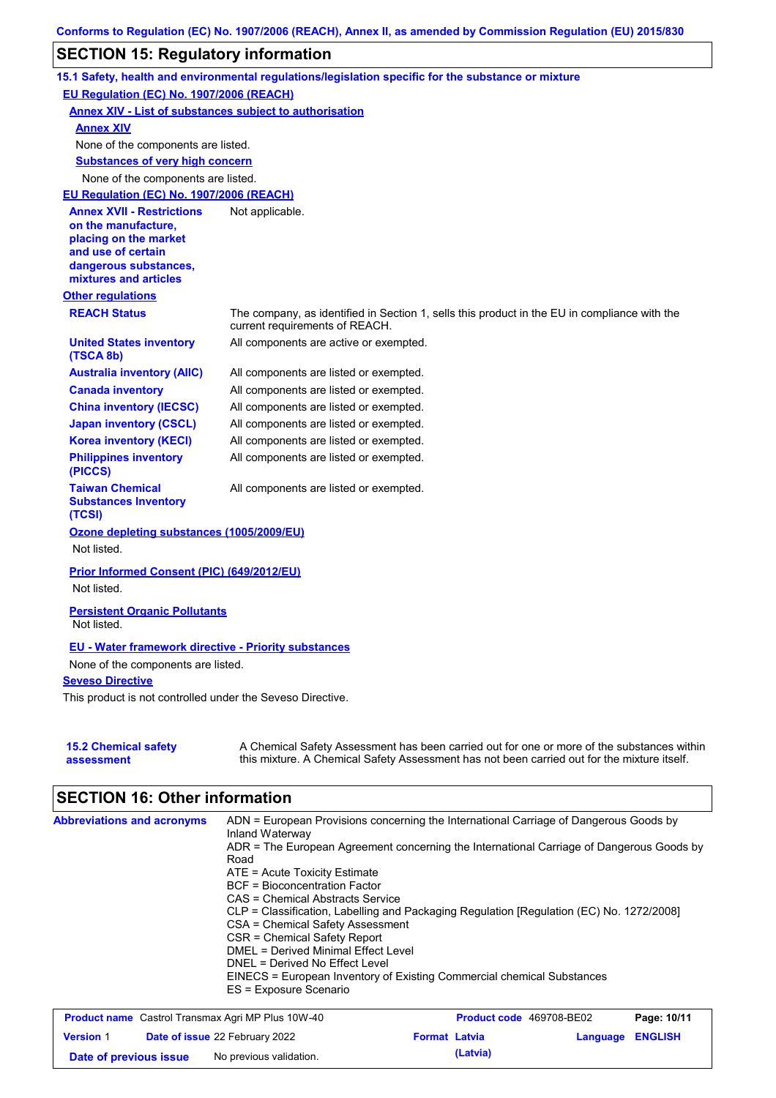# **SECTION 15: Regulatory information**

|                                                                 | 15.1 Safety, health and environmental regulations/legislation specific for the substance or mixture                                                                                       |
|-----------------------------------------------------------------|-------------------------------------------------------------------------------------------------------------------------------------------------------------------------------------------|
| EU Regulation (EC) No. 1907/2006 (REACH)                        |                                                                                                                                                                                           |
| <b>Annex XIV - List of substances subject to authorisation</b>  |                                                                                                                                                                                           |
| <b>Annex XIV</b>                                                |                                                                                                                                                                                           |
| None of the components are listed.                              |                                                                                                                                                                                           |
| <b>Substances of very high concern</b>                          |                                                                                                                                                                                           |
| None of the components are listed.                              |                                                                                                                                                                                           |
| EU Regulation (EC) No. 1907/2006 (REACH)                        |                                                                                                                                                                                           |
| <b>Annex XVII - Restrictions</b>                                | Not applicable.                                                                                                                                                                           |
| on the manufacture,<br>placing on the market                    |                                                                                                                                                                                           |
| and use of certain                                              |                                                                                                                                                                                           |
| dangerous substances,                                           |                                                                                                                                                                                           |
| mixtures and articles                                           |                                                                                                                                                                                           |
| <b>Other regulations</b>                                        |                                                                                                                                                                                           |
| <b>REACH Status</b>                                             | The company, as identified in Section 1, sells this product in the EU in compliance with the<br>current requirements of REACH.                                                            |
| <b>United States inventory</b><br>(TSCA 8b)                     | All components are active or exempted.                                                                                                                                                    |
| <b>Australia inventory (AIIC)</b>                               | All components are listed or exempted.                                                                                                                                                    |
| <b>Canada inventory</b>                                         | All components are listed or exempted.                                                                                                                                                    |
| <b>China inventory (IECSC)</b>                                  | All components are listed or exempted.                                                                                                                                                    |
| <b>Japan inventory (CSCL)</b>                                   | All components are listed or exempted.                                                                                                                                                    |
| <b>Korea inventory (KECI)</b>                                   | All components are listed or exempted.                                                                                                                                                    |
| <b>Philippines inventory</b><br>(PICCS)                         | All components are listed or exempted.                                                                                                                                                    |
| <b>Taiwan Chemical</b><br><b>Substances Inventory</b><br>(TCSI) | All components are listed or exempted.                                                                                                                                                    |
| Ozone depleting substances (1005/2009/EU)                       |                                                                                                                                                                                           |
| Not listed.                                                     |                                                                                                                                                                                           |
| Prior Informed Consent (PIC) (649/2012/EU)                      |                                                                                                                                                                                           |
| Not listed.                                                     |                                                                                                                                                                                           |
|                                                                 |                                                                                                                                                                                           |
| <b>Persistent Organic Pollutants</b><br>Not listed.             |                                                                                                                                                                                           |
| <b>EU - Water framework directive - Priority substances</b>     |                                                                                                                                                                                           |
| None of the components are listed.                              |                                                                                                                                                                                           |
| <b>Seveso Directive</b>                                         |                                                                                                                                                                                           |
| This product is not controlled under the Seveso Directive.      |                                                                                                                                                                                           |
|                                                                 |                                                                                                                                                                                           |
| <b>15.2 Chemical safety</b><br>assessment                       | A Chemical Safety Assessment has been carried out for one or more of the substances within<br>this mixture. A Chemical Safety Assessment has not been carried out for the mixture itself. |

# **SECTION 16: Other information**

| <b>Abbreviations and acronyms</b> | ADN = European Provisions concerning the International Carriage of Dangerous Goods by<br>Inland Waterway |
|-----------------------------------|----------------------------------------------------------------------------------------------------------|
|                                   | ADR = The European Agreement concerning the International Carriage of Dangerous Goods by<br>Road         |
|                                   | $ATE =$ Acute Toxicity Estimate                                                                          |
|                                   | <b>BCF</b> = Bioconcentration Factor                                                                     |
|                                   | CAS = Chemical Abstracts Service                                                                         |
|                                   | CLP = Classification, Labelling and Packaging Regulation [Regulation (EC) No. 1272/2008]                 |
|                                   | CSA = Chemical Safety Assessment                                                                         |
|                                   | CSR = Chemical Safety Report                                                                             |
|                                   | DMEL = Derived Minimal Effect Level                                                                      |
|                                   | DNEL = Derived No Effect Level                                                                           |
|                                   | EINECS = European Inventory of Existing Commercial chemical Substances<br>ES = Exposure Scenario         |
|                                   |                                                                                                          |

| <b>Product name</b> Castrol Transmax Agri MP Plus 10W-40 |  |                                       | <b>Product code</b> 469708-BE02 |          | Page: 10/11      |  |
|----------------------------------------------------------|--|---------------------------------------|---------------------------------|----------|------------------|--|
| <b>Version 1</b>                                         |  | <b>Date of issue 22 February 2022</b> | <b>Format Latvia</b>            |          | Language ENGLISH |  |
| Date of previous issue                                   |  | No previous validation.               |                                 | (Latvia) |                  |  |